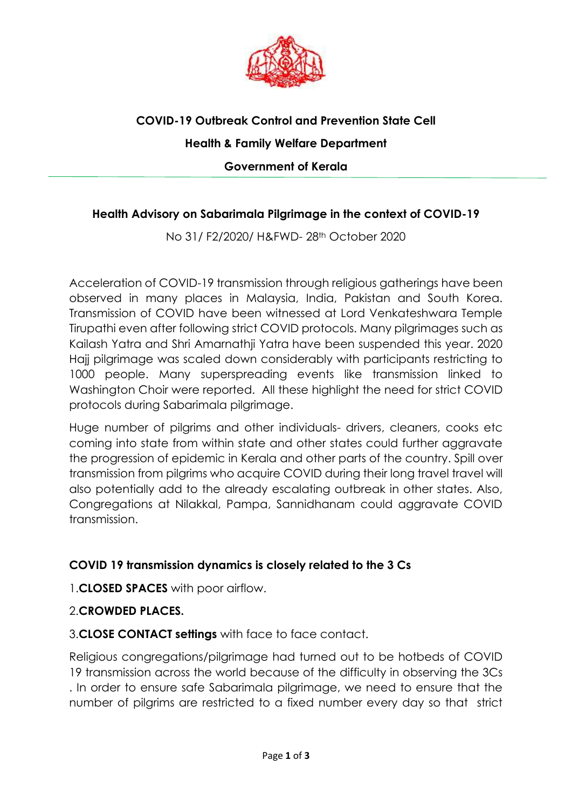

## **COVID-19 Outbreak Control and Prevention State Cell Health & Family Welfare Department Government of Kerala**

## **Health Advisory on Sabarimala Pilgrimage in the context of COVID-19**

No 31/ F2/2020/ H&FWD- 28th October 2020

Acceleration of COVID-19 transmission through religious gatherings have been observed in many places in Malaysia, India, Pakistan and South Korea. Transmission of COVID have been witnessed at Lord Venkateshwara Temple Tirupathi even after following strict COVID protocols. Many pilgrimages such as Kailash Yatra and Shri Amarnathji Yatra have been suspended this year. 2020 Hajj pilgrimage was scaled down considerably with participants restricting to 1000 people. Many superspreading events like transmission linked to Washington Choir were reported. All these highlight the need for strict COVID protocols during Sabarimala pilgrimage.

Huge number of pilgrims and other individuals- drivers, cleaners, cooks etc coming into state from within state and other states could further aggravate the progression of epidemic in Kerala and other parts of the country. Spill over transmission from pilgrims who acquire COVID during their long travel travel will also potentially add to the already escalating outbreak in other states. Also, Congregations at Nilakkal, Pampa, Sannidhanam could aggravate COVID transmission.

## **COVID 19 transmission dynamics is closely related to the 3 Cs**

1.**CLOSED SPACES** with poor airflow.

## 2.**CROWDED PLACES.**

3.**CLOSE CONTACT settings** with face to face contact.

Religious congregations/pilgrimage had turned out to be hotbeds of COVID 19 transmission across the world because of the difficulty in observing the 3Cs . In order to ensure safe Sabarimala pilgrimage, we need to ensure that the number of pilgrims are restricted to a fixed number every day so that strict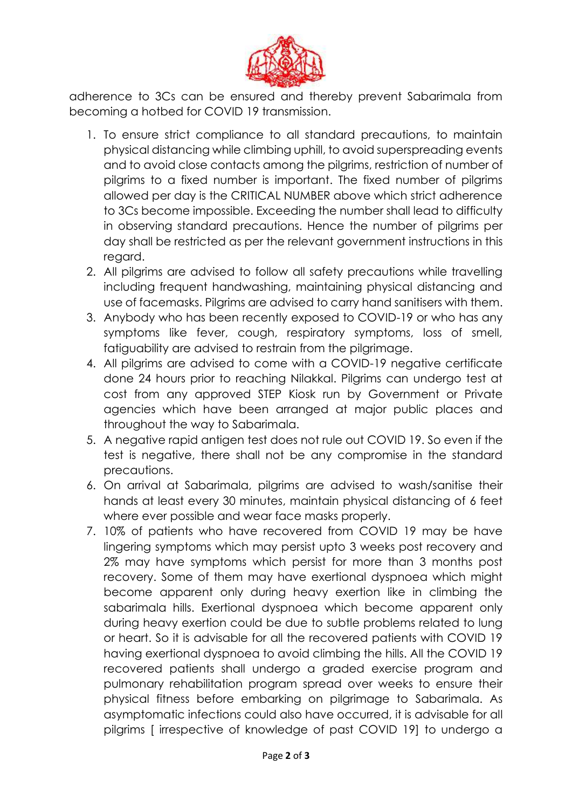

adherence to 3Cs can be ensured and thereby prevent Sabarimala from becoming a hotbed for COVID 19 transmission.

- 1. To ensure strict compliance to all standard precautions, to maintain physical distancing while climbing uphill, to avoid superspreading events and to avoid close contacts among the pilgrims, restriction of number of pilgrims to a fixed number is important. The fixed number of pilgrims allowed per day is the CRITICAL NUMBER above which strict adherence to 3Cs become impossible. Exceeding the number shall lead to difficulty in observing standard precautions. Hence the number of pilgrims per day shall be restricted as per the relevant government instructions in this regard.
- 2. All pilgrims are advised to follow all safety precautions while travelling including frequent handwashing, maintaining physical distancing and use of facemasks. Pilgrims are advised to carry hand sanitisers with them.
- 3. Anybody who has been recently exposed to COVID-19 or who has any symptoms like fever, cough, respiratory symptoms, loss of smell, fatiguability are advised to restrain from the pilgrimage.
- 4. All pilgrims are advised to come with a COVID-19 negative certificate done 24 hours prior to reaching Nilakkal. Pilgrims can undergo test at cost from any approved STEP Kiosk run by Government or Private agencies which have been arranged at major public places and throughout the way to Sabarimala.
- 5. A negative rapid antigen test does not rule out COVID 19. So even if the test is negative, there shall not be any compromise in the standard precautions.
- 6. On arrival at Sabarimala, pilgrims are advised to wash/sanitise their hands at least every 30 minutes, maintain physical distancing of 6 feet where ever possible and wear face masks properly.
- 7. 10% of patients who have recovered from COVID 19 may be have lingering symptoms which may persist upto 3 weeks post recovery and 2% may have symptoms which persist for more than 3 months post recovery. Some of them may have exertional dyspnoea which might become apparent only during heavy exertion like in climbing the sabarimala hills. Exertional dyspnoea which become apparent only during heavy exertion could be due to subtle problems related to lung or heart. So it is advisable for all the recovered patients with COVID 19 having exertional dyspnoea to avoid climbing the hills. All the COVID 19 recovered patients shall undergo a graded exercise program and pulmonary rehabilitation program spread over weeks to ensure their physical fitness before embarking on pilgrimage to Sabarimala. As asymptomatic infections could also have occurred, it is advisable for all pilgrims [ irrespective of knowledge of past COVID 19] to undergo a